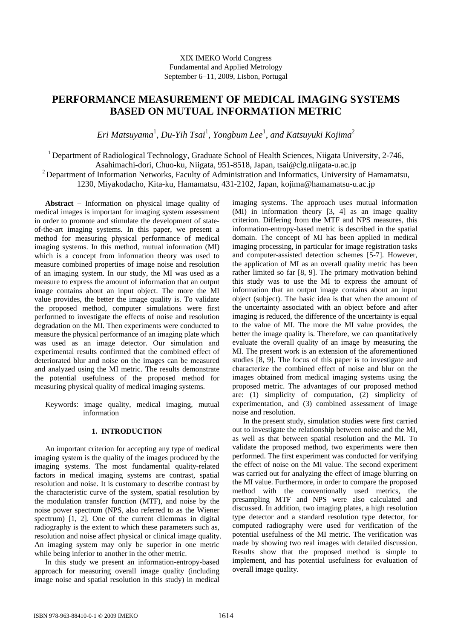# **PERFORMANCE MEASUREMENT OF MEDICAL IMAGING SYSTEMS BASED ON MUTUAL INFORMATION METRIC**

*Eri Matsuyama*<sup>1</sup> , *Du-Yih Tsai*<sup>1</sup> , *Yongbum Lee*<sup>1</sup> , *and Katsuyuki Kojima*<sup>2</sup>

<sup>1</sup> Department of Radiological Technology, Graduate School of Health Sciences, Niigata University, 2-746, Asahimachi-dori, Chuo-ku, Niigata, 951-8518, Japan, tsai@clg.niigata-u.ac.jp  $2$  Department of Information Networks, Faculty of Administration and Informatics, University of Hamamatsu, 1230, Miyakodacho, Kita-ku, Hamamatsu, 431-2102, Japan, kojima@hamamatsu-u.ac.jp

**Abstract** − Information on physical image quality of medical images is important for imaging system assessment in order to promote and stimulate the development of stateof-the-art imaging systems. In this paper, we present a method for measuring physical performance of medical imaging systems. In this method, mutual information (MI) which is a concept from information theory was used to measure combined properties of image noise and resolution of an imaging system. In our study, the MI was used as a measure to express the amount of information that an output image contains about an input object. The more the MI value provides, the better the image quality is. To validate the proposed method, computer simulations were first performed to investigate the effects of noise and resolution degradation on the MI. Then experiments were conducted to measure the physical performance of an imaging plate which was used as an image detector. Our simulation and experimental results confirmed that the combined effect of deteriorated blur and noise on the images can be measured and analyzed using the MI metric. The results demonstrate the potential usefulness of the proposed method for measuring physical quality of medical imaging systems.

Keywords: image quality, medical imaging, mutual information

# **1. INTRODUCTION**

An important criterion for accepting any type of medical imaging system is the quality of the images produced by the imaging systems. The most fundamental quality-related factors in medical imaging systems are contrast, spatial resolution and noise. It is customary to describe contrast by the characteristic curve of the system, spatial resolution by the modulation transfer function (MTF), and noise by the noise power spectrum (NPS, also referred to as the Wiener spectrum) [1, 2]. One of the current dilemmas in digital radiography is the extent to which these parameters such as, resolution and noise affect physical or clinical image quality. An imaging system may only be superior in one metric while being inferior to another in the other metric.

In this study we present an information-entropy-based approach for measuring overall image quality (including image noise and spatial resolution in this study) in medical

imaging systems. The approach uses mutual information (MI) in information theory [3, 4] as an image quality criterion. Differing from the MTF and NPS measures, this information-entropy-based metric is described in the spatial domain. The concept of MI has been applied in medical imaging processing, in particular for image registration tasks and computer-assisted detection schemes [5-7]. However, the application of MI as an overall quality metric has been rather limited so far [8, 9]. The primary motivation behind this study was to use the MI to express the amount of information that an output image contains about an input object (subject). The basic idea is that when the amount of the uncertainty associated with an object before and after imaging is reduced, the difference of the uncertainty is equal to the value of MI. The more the MI value provides, the better the image quality is. Therefore, we can quantitatively evaluate the overall quality of an image by measuring the MI. The present work is an extension of the aforementioned studies [8, 9]. The focus of this paper is to investigate and characterize the combined effect of noise and blur on the images obtained from medical imaging systems using the proposed metric. The advantages of our proposed method are: (1) simplicity of computation, (2) simplicity of experimentation, and (3) combined assessment of image noise and resolution.

In the present study, simulation studies were first carried out to investigate the relationship between noise and the MI, as well as that between spatial resolution and the MI. To validate the proposed method, two experiments were then performed. The first experiment was conducted for verifying the effect of noise on the MI value. The second experiment was carried out for analyzing the effect of image blurring on the MI value. Furthermore, in order to compare the proposed method with the conventionally used metrics, the presampling MTF and NPS were also calculated and discussed. In addition, two imaging plates, a high resolution type detector and a standard resolution type detector, for computed radiography were used for verification of the potential usefulness of the MI metric. The verification was made by showing two real images with detailed discussion. Results show that the proposed method is simple to implement, and has potential usefulness for evaluation of overall image quality.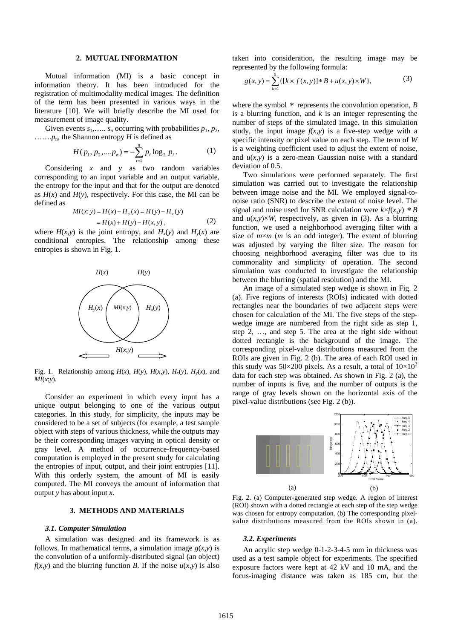## **2. MUTUAL INFORMATION**

Mutual information (MI) is a basic concept in information theory. It has been introduced for the registration of multimodality medical images. The definition of the term has been presented in various ways in the literature [10]. We will briefly describe the MI used for measurement of image quality.

Given events  $s_1$ , ...  $s_n$  occurring with probabilities  $p_1$ ,  $p_2$ , …….*p*n, the Shannon entropy *H* is defined as

$$
H(p_1, p_2, \dots, p_n) = -\sum_{i=1}^{n} p_i \log_2 p_i.
$$
 (1)

Considering *x* and *y* as two random variables corresponding to an input variable and an output variable, the entropy for the input and that for the output are denoted as  $H(x)$  and  $H(y)$ , respectively. For this case, the MI can be defined as

$$
MI(x; y) = H(x) - H_y(x) = H(y) - H_x(y)
$$
  
= H(x) + H(y) - H(x, y), (2)

where  $H(x, y)$  is the joint entropy, and  $H<sub>x</sub>(y)$  and  $H<sub>y</sub>(x)$  are conditional entropies. The relationship among these entropies is shown in Fig. 1.



Fig. 1. Relationship among  $H(x)$ ,  $H(y)$ ,  $H(x,y)$ ,  $H_x(y)$ ,  $H_y(x)$ , and *MI*(*x*;*y*).

Consider an experiment in which every input has a unique output belonging to one of the various output categories. In this study, for simplicity, the inputs may be considered to be a set of subjects (for example, a test sample object with steps of various thickness, while the outputs may be their corresponding images varying in optical density or gray level. A method of occurrence-frequency-based computation is employed in the present study for calculating the entropies of input, output, and their joint entropies [11]. With this orderly system, the amount of MI is easily computed. The MI conveys the amount of information that output *y* has about input *x*.

# **3. METHODS AND MATERIALS**

#### *3.1. Computer Simulation*

A simulation was designed and its framework is as follows. In mathematical terms, a simulation image  $g(x, y)$  is the convolution of a uniformly-distributed signal (an object)  $f(x,y)$  and the blurring function *B*. If the noise  $u(x,y)$  is also taken into consideration, the resulting image may be represented by the following formula:

$$
g(x, y) = \sum_{k=1}^{5} \{ [k \times f(x, y)] * B + u(x, y) \times W \},
$$
 (3)

where the symbol  $*$  represents the convolution operation,  $B$ is a blurring function, and *k* is an integer representing the number of steps of the simulated image. In this simulation study, the input image  $f(x,y)$  is a five-step wedge with a specific intensity or pixel value on each step. The term of *W* is a weighting coefficient used to adjust the extent of noise, and  $u(x, y)$  is a zero-mean Gaussian noise with a standard deviation of 0.5.

Two simulations were performed separately. The first simulation was carried out to investigate the relationship between image noise and the MI. We employed signal-tonoise ratio (SNR) to describe the extent of noise level. The signal and noise used for SNR calculation were  $k \times f(x, y) * B$ and  $u(x,y) \times W$ , respectively, as given in (3). As a blurring function, we used a neighborhood averaging filter with a size of *m*×*m* (*m* is an odd integer). The extent of blurring was adjusted by varying the filter size. The reason for choosing neighborhood averaging filter was due to its commonality and simplicity of operation. The second simulation was conducted to investigate the relationship between the blurring (spatial resolution) and the MI.

An image of a simulated step wedge is shown in Fig. 2 (a). Five regions of interests (ROIs) indicated with dotted rectangles near the boundaries of two adjacent steps were chosen for calculation of the MI. The five steps of the stepwedge image are numbered from the right side as step 1, step 2, …, and step 5. The area at the right side without dotted rectangle is the background of the image. The corresponding pixel-value distributions measured from the ROIs are given in Fig. 2 (b). The area of each ROI used in this study was 50×200 pixels. As a result, a total of  $10\times10^{3}$ data for each step was obtained. As shown in Fig. 2 (a), the number of inputs is five, and the number of outputs is the range of gray levels shown on the horizontal axis of the pixel-value distributions (see Fig. 2 (b)).



Fig. 2. (a) Computer-generated step wedge. A region of interest (ROI) shown with a dotted rectangle at each step of the step wedge was chosen for entropy computation. (b) The corresponding pixelvalue distributions measured from the ROIs shown in (a).

### *3.2. Experiments*

An acrylic step wedge 0-1-2-3-4-5 mm in thickness was used as a test sample object for experiments. The specified exposure factors were kept at 42 kV and 10 mA, and the focus-imaging distance was taken as 185 cm, but the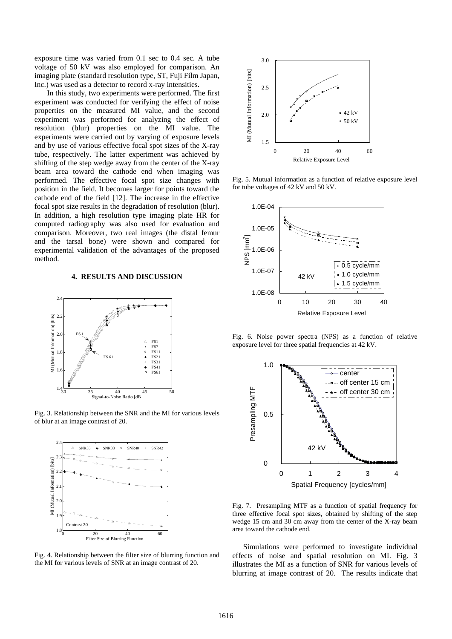exposure time was varied from 0.1 sec to 0.4 sec. A tube voltage of 50 kV was also employed for comparison. An imaging plate (standard resolution type, ST, Fuji Film Japan, Inc.) was used as a detector to record x-ray intensities.

 In this study, two experiments were performed. The first experiment was conducted for verifying the effect of noise properties on the measured MI value, and the second experiment was performed for analyzing the effect of resolution (blur) properties on the MI value. The experiments were carried out by varying of exposure levels and by use of various effective focal spot sizes of the X-ray tube, respectively. The latter experiment was achieved by shifting of the step wedge away from the center of the X-ray beam area toward the cathode end when imaging was performed. The effective focal spot size changes with position in the field. It becomes larger for points toward the cathode end of the field [12]. The increase in the effective focal spot size results in the degradation of resolution (blur). In addition, a high resolution type imaging plate HR for computed radiography was also used for evaluation and comparison. Moreover, two real images (the distal femur and the tarsal bone) were shown and compared for experimental validation of the advantages of the proposed method.

## **4. RESULTS AND DISCUSSION**



Fig. 3. Relationship between the SNR and the MI for various levels of blur at an image contrast of 20.



Fig. 4. Relationship between the filter size of blurring function and the MI for various levels of SNR at an image contrast of 20.



Fig. 5. Mutual information as a function of relative exposure level for tube voltages of 42 kV and 50 kV.



Fig. 6. Noise power spectra (NPS) as a function of relative exposure level for three spatial frequencies at 42 kV.



Fig. 7. Presampling MTF as a function of spatial frequency for three effective focal spot sizes, obtained by shifting of the step wedge 15 cm and 30 cm away from the center of the X-ray beam area toward the cathode end.

Simulations were performed to investigate individual effects of noise and spatial resolution on MI. Fig. 3 illustrates the MI as a function of SNR for various levels of blurring at image contrast of 20. The results indicate that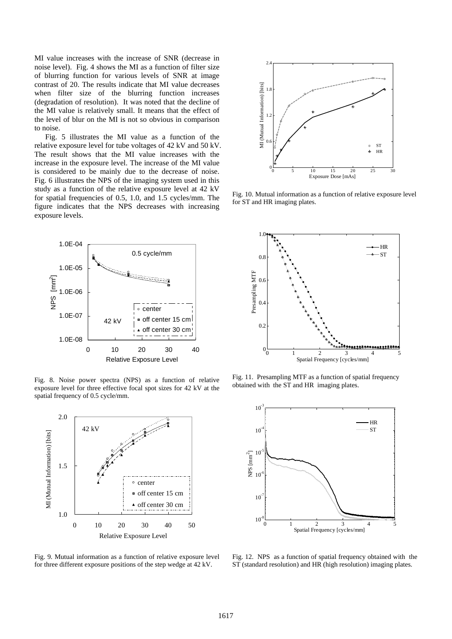MI value increases with the increase of SNR (decrease in noise level). Fig. 4 shows the MI as a function of filter size of blurring function for various levels of SNR at image contrast of 20. The results indicate that MI value decreases when filter size of the blurring function increases (degradation of resolution). It was noted that the decline of the MI value is relatively small. It means that the effect of the level of blur on the MI is not so obvious in comparison to noise.

Fig. 5 illustrates the MI value as a function of the relative exposure level for tube voltages of 42 kV and 50 kV. The result shows that the MI value increases with the increase in the exposure level. The increase of the MI value is considered to be mainly due to the decrease of noise. Fig. 6 illustrates the NPS of the imaging system used in this study as a function of the relative exposure level at 42 kV for spatial frequencies of 0.5, 1.0, and 1.5 cycles/mm. The figure indicates that the NPS decreases with increasing exposure levels.



Fig. 8. Noise power spectra (NPS) as a function of relative exposure level for three effective focal spot sizes for 42 kV at the spatial frequency of 0.5 cycle/mm.



Fig. 9. Mutual information as a function of relative exposure level for three different exposure positions of the step wedge at 42 kV.



Fig. 10. Mutual information as a function of relative exposure level for ST and HR imaging plates.



Fig. 11. Presampling MTF as a function of spatial frequency obtained with the ST and HR imaging plates.



Fig. 12. NPS as a function of spatial frequency obtained with the ST (standard resolution) and HR (high resolution) imaging plates.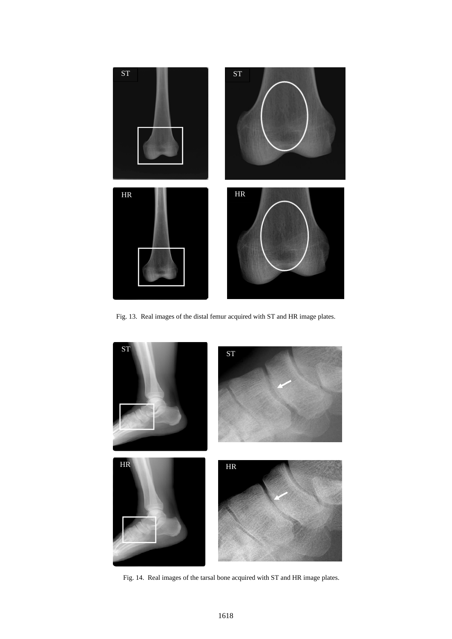

Fig. 13. Real images of the distal femur acquired with ST and HR image plates.



Fig. 14. Real images of the tarsal bone acquired with ST and HR image plates.